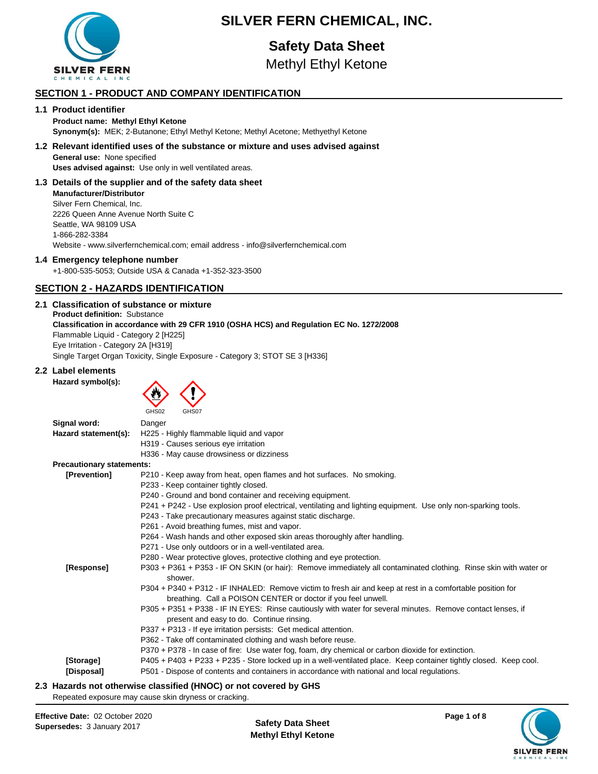

## **SILVER FERN CHEMICAL, INC.**

# **Safety Data Sheet**

Methyl Ethyl Ketone

## **SECTION 1 - PRODUCT AND COMPANY IDENTIFICATION**

## **1.1 Product identifier**

#### **Product name: Methyl Ethyl Ketone Synonym(s):** MEK; 2-Butanone; Ethyl Methyl Ketone; Methyl Acetone; Methyethyl Ketone

## **1.2 Relevant identified uses of the substance or mixture and uses advised against General use:** None specified **Uses advised against:** Use only in well ventilated areas.

**1.3 Details of the supplier and of the safety data sheet Manufacturer/Distributor** Silver Fern Chemical, Inc. 2226 Queen Anne Avenue North Suite C Seattle, WA 98109 USA 1-866-282-3384 Website - www.silverfernchemical.com; email address - info@silverfernchemical.com

## **1.4 Emergency telephone number**

+1-800-535-5053; Outside USA & Canada +1-352-323-3500

## **SECTION 2 - HAZARDS IDENTIFICATION**

#### **2.1 Classification of substance or mixture Product definition:** Substance **Classification in accordance with 29 CFR 1910 (OSHA HCS) and Regulation EC No. 1272/2008** Flammable Liquid - Category 2 [H225] Eye Irritation - Category 2A [H319] Single Target Organ Toxicity, Single Exposure - Category 3; STOT SE 3 [H336]

## **2.2 Label elements**





| Signal word:                     | Danger                                                                                                                                                   |
|----------------------------------|----------------------------------------------------------------------------------------------------------------------------------------------------------|
| Hazard statement(s):             | H225 - Highly flammable liquid and vapor                                                                                                                 |
|                                  | H319 - Causes serious eye irritation                                                                                                                     |
|                                  | H336 - May cause drowsiness or dizziness                                                                                                                 |
| <b>Precautionary statements:</b> |                                                                                                                                                          |
| [Prevention]                     | P210 - Keep away from heat, open flames and hot surfaces. No smoking.                                                                                    |
|                                  | P233 - Keep container tightly closed.                                                                                                                    |
|                                  | P240 - Ground and bond container and receiving equipment.                                                                                                |
|                                  | P241 + P242 - Use explosion proof electrical, ventilating and lighting equipment. Use only non-sparking tools.                                           |
|                                  | P243 - Take precautionary measures against static discharge.                                                                                             |
|                                  | P261 - Avoid breathing fumes, mist and vapor.                                                                                                            |
|                                  | P264 - Wash hands and other exposed skin areas thoroughly after handling.                                                                                |
|                                  | P271 - Use only outdoors or in a well-ventilated area.                                                                                                   |
|                                  | P280 - Wear protective gloves, protective clothing and eye protection.                                                                                   |
| [Response]                       | P303 + P361 + P353 - IF ON SKIN (or hair): Remove immediately all contaminated clothing. Rinse skin with water or<br>shower.                             |
|                                  | P304 + P340 + P312 - IF INHALED: Remove victim to fresh air and keep at rest in a comfortable position for                                               |
|                                  | breathing. Call a POISON CENTER or doctor if you feel unwell.                                                                                            |
|                                  | P305 + P351 + P338 - IF IN EYES: Rinse cautiously with water for several minutes. Remove contact lenses, if<br>present and easy to do. Continue rinsing. |
|                                  | P337 + P313 - If eye irritation persists: Get medical attention.                                                                                         |
|                                  | P362 - Take off contaminated clothing and wash before reuse.                                                                                             |
|                                  | P370 + P378 - In case of fire: Use water fog, foam, dry chemical or carbon dioxide for extinction.                                                       |
| [Storage]                        | P405 + P403 + P233 + P235 - Store locked up in a well-ventilated place. Keep container tightly closed. Keep cool.                                        |
| [Disposal]                       | P501 - Dispose of contents and containers in accordance with national and local regulations.                                                             |
|                                  | However, and with constant along the d (HNAA) consenting and less AUA                                                                                    |

**2.3 Hazards not otherwise classified (HNOC) or not covered by GHS**

Repeated exposure may cause skin dryness or cracking.

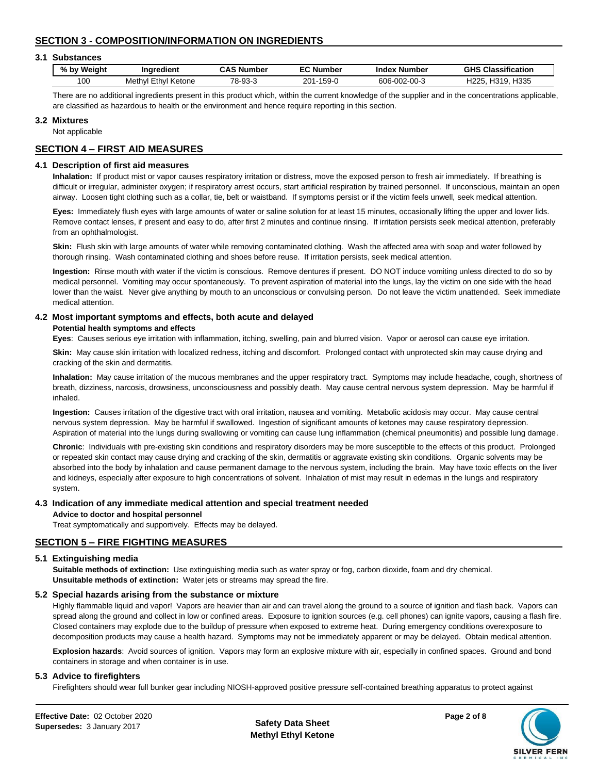## **SECTION 3 - COMPOSITION/INFORMATION ON INGREDIENTS**

#### **3.1 Substances**

| $%$ by<br>Weiaht | Ingredient                    | <b>CAS Number</b> | <b>EC Number</b>       | Number<br>Index | <b>Classification</b><br>GHS             |
|------------------|-------------------------------|-------------------|------------------------|-----------------|------------------------------------------|
| 100              | <b>Ethyl Ketone</b><br>Methvl | 78-93-3           | $201 - 1$<br>$159 - C$ | 606-002-00-3    | H335<br><b>H319.</b><br>H <sub>225</sub> |

There are no additional ingredients present in this product which, within the current knowledge of the supplier and in the concentrations applicable, are classified as hazardous to health or the environment and hence require reporting in this section.

#### **3.2 Mixtures**

Not applicable

## **SECTION 4 – FIRST AID MEASURES**

#### **4.1 Description of first aid measures**

**Inhalation:** If product mist or vapor causes respiratory irritation or distress, move the exposed person to fresh air immediately. If breathing is difficult or irregular, administer oxygen; if respiratory arrest occurs, start artificial respiration by trained personnel. If unconscious, maintain an open airway. Loosen tight clothing such as a collar, tie, belt or waistband. If symptoms persist or if the victim feels unwell, seek medical attention.

**Eyes:** Immediately flush eyes with large amounts of water or saline solution for at least 15 minutes, occasionally lifting the upper and lower lids. Remove contact lenses, if present and easy to do, after first 2 minutes and continue rinsing. If irritation persists seek medical attention, preferably from an ophthalmologist.

**Skin:** Flush skin with large amounts of water while removing contaminated clothing. Wash the affected area with soap and water followed by thorough rinsing. Wash contaminated clothing and shoes before reuse. If irritation persists, seek medical attention.

**Ingestion:** Rinse mouth with water if the victim is conscious. Remove dentures if present. DO NOT induce vomiting unless directed to do so by medical personnel. Vomiting may occur spontaneously. To prevent aspiration of material into the lungs, lay the victim on one side with the head lower than the waist. Never give anything by mouth to an unconscious or convulsing person. Do not leave the victim unattended. Seek immediate medical attention.

## **4.2 Most important symptoms and effects, both acute and delayed**

#### **Potential health symptoms and effects**

**Eyes**: Causes serious eye irritation with inflammation, itching, swelling, pain and blurred vision. Vapor or aerosol can cause eye irritation.

**Skin:** May cause skin irritation with localized redness, itching and discomfort. Prolonged contact with unprotected skin may cause drying and cracking of the skin and dermatitis.

**Inhalation:** May cause irritation of the mucous membranes and the upper respiratory tract. Symptoms may include headache, cough, shortness of breath, dizziness, narcosis, drowsiness, unconsciousness and possibly death. May cause central nervous system depression. May be harmful if inhaled.

**Ingestion:** Causes irritation of the digestive tract with oral irritation, nausea and vomiting. Metabolic acidosis may occur. May cause central nervous system depression. May be harmful if swallowed. Ingestion of significant amounts of ketones may cause respiratory depression. Aspiration of material into the lungs during swallowing or vomiting can cause lung inflammation (chemical pneumonitis) and possible lung damage.

**Chronic**: Individuals with pre-existing skin conditions and respiratory disorders may be more susceptible to the effects of this product. Prolonged or repeated skin contact may cause drying and cracking of the skin, dermatitis or aggravate existing skin conditions. Organic solvents may be absorbed into the body by inhalation and cause permanent damage to the nervous system, including the brain. May have toxic effects on the liver and kidneys, especially after exposure to high concentrations of solvent. Inhalation of mist may result in edemas in the lungs and respiratory system.

## **4.3 Indication of any immediate medical attention and special treatment needed**

**Advice to doctor and hospital personnel** 

Treat symptomatically and supportively. Effects may be delayed.

## **SECTION 5 – FIRE FIGHTING MEASURES**

## **5.1 Extinguishing media**

**Suitable methods of extinction:** Use extinguishing media such as water spray or fog, carbon dioxide, foam and dry chemical. **Unsuitable methods of extinction:** Water jets or streams may spread the fire.

#### **5.2 Special hazards arising from the substance or mixture**

Highly flammable liquid and vapor! Vapors are heavier than air and can travel along the ground to a source of ignition and flash back. Vapors can spread along the ground and collect in low or confined areas. Exposure to ignition sources (e.g. cell phones) can ignite vapors, causing a flash fire. Closed containers may explode due to the buildup of pressure when exposed to extreme heat. During emergency conditions overexposure to decomposition products may cause a health hazard. Symptoms may not be immediately apparent or may be delayed. Obtain medical attention.

**Explosion hazards**: Avoid sources of ignition. Vapors may form an explosive mixture with air, especially in confined spaces. Ground and bond containers in storage and when container is in use.

## **5.3 Advice to firefighters**

Firefighters should wear full bunker gear including NIOSH-approved positive pressure self-contained breathing apparatus to protect against

**Effective Date:** 02 October 2020 **Page 2 of 8 Supersedes:** 3 January 2017

**Methyl Ethyl Ketone**



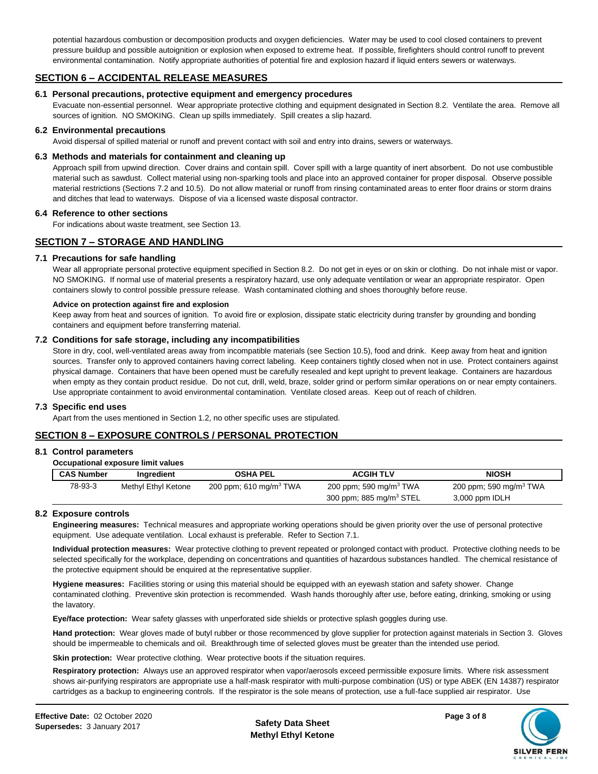potential hazardous combustion or decomposition products and oxygen deficiencies. Water may be used to cool closed containers to prevent pressure buildup and possible autoignition or explosion when exposed to extreme heat. If possible, firefighters should control runoff to prevent environmental contamination. Notify appropriate authorities of potential fire and explosion hazard if liquid enters sewers or waterways.

## **SECTION 6 – ACCIDENTAL RELEASE MEASURES**

#### **6.1 Personal precautions, protective equipment and emergency procedures**

Evacuate non-essential personnel. Wear appropriate protective clothing and equipment designated in Section 8.2. Ventilate the area. Remove all sources of ignition. NO SMOKING. Clean up spills immediately. Spill creates a slip hazard.

#### **6.2 Environmental precautions**

Avoid dispersal of spilled material or runoff and prevent contact with soil and entry into drains, sewers or waterways.

#### **6.3 Methods and materials for containment and cleaning up**

Approach spill from upwind direction. Cover drains and contain spill. Cover spill with a large quantity of inert absorbent. Do not use combustible material such as sawdust. Collect material using non-sparking tools and place into an approved container for proper disposal. Observe possible material restrictions (Sections 7.2 and 10.5). Do not allow material or runoff from rinsing contaminated areas to enter floor drains or storm drains and ditches that lead to waterways. Dispose of via a licensed waste disposal contractor.

#### **6.4 Reference to other sections**

For indications about waste treatment, see Section 13.

## **SECTION 7 – STORAGE AND HANDLING**

#### **7.1 Precautions for safe handling**

Wear all appropriate personal protective equipment specified in Section 8.2. Do not get in eyes or on skin or clothing. Do not inhale mist or vapor. NO SMOKING. If normal use of material presents a respiratory hazard, use only adequate ventilation or wear an appropriate respirator. Open containers slowly to control possible pressure release. Wash contaminated clothing and shoes thoroughly before reuse.

#### **Advice on protection against fire and explosion**

Keep away from heat and sources of ignition. To avoid fire or explosion, dissipate static electricity during transfer by grounding and bonding containers and equipment before transferring material.

#### **7.2 Conditions for safe storage, including any incompatibilities**

Store in dry, cool, well-ventilated areas away from incompatible materials (see Section 10.5), food and drink. Keep away from heat and ignition sources. Transfer only to approved containers having correct labeling. Keep containers tightly closed when not in use. Protect containers against physical damage. Containers that have been opened must be carefully resealed and kept upright to prevent leakage. Containers are hazardous when empty as they contain product residue. Do not cut, drill, weld, braze, solder grind or perform similar operations on or near empty containers. Use appropriate containment to avoid environmental contamination. Ventilate closed areas. Keep out of reach of children.

#### **7.3 Specific end uses**

Apart from the uses mentioned in Section 1.2, no other specific uses are stipulated.

## **SECTION 8 – EXPOSURE CONTROLS / PERSONAL PROTECTION**

#### **8.1 Control parameters**

| Occupational exposure limit values |  |  |  |
|------------------------------------|--|--|--|
|------------------------------------|--|--|--|

| <b>CAS Number</b> | Ingredient          | <b>OSHA PEL</b>                    | <b>ACGIH TLV</b>                                                          | <b>NIOSH</b>                                         |
|-------------------|---------------------|------------------------------------|---------------------------------------------------------------------------|------------------------------------------------------|
| 78-93-3           | Methyl Ethyl Ketone | 200 ppm; 610 mg/m <sup>3</sup> TWA | 200 ppm; 590 mg/m <sup>3</sup> TWA<br>300 ppm; 885 mg/m <sup>3</sup> STEL | 200 ppm; 590 mg/m <sup>3</sup> TWA<br>3,000 ppm IDLH |

## **8.2 Exposure controls**

**Engineering measures:** Technical measures and appropriate working operations should be given priority over the use of personal protective equipment. Use adequate ventilation. Local exhaust is preferable. Refer to Section 7.1.

**Individual protection measures:** Wear protective clothing to prevent repeated or prolonged contact with product. Protective clothing needs to be selected specifically for the workplace, depending on concentrations and quantities of hazardous substances handled. The chemical resistance of the protective equipment should be enquired at the representative supplier.

**Hygiene measures:** Facilities storing or using this material should be equipped with an eyewash station and safety shower. Change contaminated clothing. Preventive skin protection is recommended. Wash hands thoroughly after use, before eating, drinking, smoking or using the lavatory.

**Eye/face protection:** Wear safety glasses with unperforated side shields or protective splash goggles during use.

**Hand protection:** Wear gloves made of butyl rubber or those recommenced by glove supplier for protection against materials in Section 3. Gloves should be impermeable to chemicals and oil. Breakthrough time of selected gloves must be greater than the intended use period.

**Skin protection:** Wear protective clothing. Wear protective boots if the situation requires.

**Respiratory protection:** Always use an approved respirator when vapor/aerosols exceed permissible exposure limits. Where risk assessment shows air-purifying respirators are appropriate use a half-mask respirator with multi-purpose combination (US) or type ABEK (EN 14387) respirator cartridges as a backup to engineering controls. If the respirator is the sole means of protection, use a full-face supplied air respirator. Use

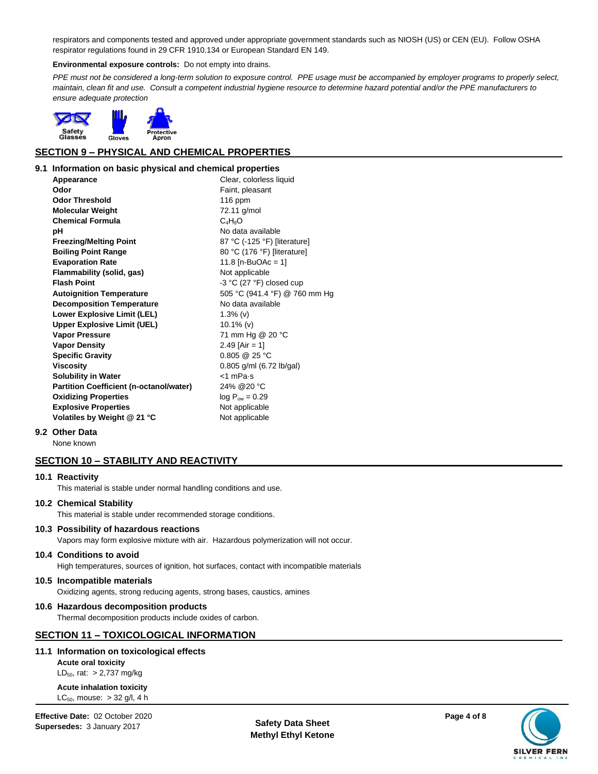respirators and components tested and approved under appropriate government standards such as NIOSH (US) or CEN (EU). Follow OSHA respirator regulations found in 29 CFR 1910.134 or European Standard EN 149.

#### **Environmental exposure controls:** Do not empty into drains.

PPE must not be considered a long-term solution to exposure control. PPE usage must be accompanied by employer programs to properly select, *maintain, clean fit and use. Consult a competent industrial hygiene resource to determine hazard potential and/or the PPE manufacturers to ensure adequate protection*



## **SECTION 9 – PHYSICAL AND CHEMICAL PROPERTIES**

#### **9.1 Information on basic physical and chemical properties**

**Appearance** Clear, colorless liquid **Odor** Faint, pleasant **Odor Threshold** 116 ppm **Molecular Weight** 72.11 g/mol Chemical Formula C<sub>4</sub>H<sub>8</sub>O **pH** No data available **Freezing/Melting Point** 87 °C (-125 °F) [literature] **Boiling Point Range** 80 °C (176 °F) [literature] **Evaporation Rate** 11.8 [n-BuOAc = 1] **Flammability (solid, gas)** Not applicable **Flash Point** -3 °C (27 °F) closed cup **Autoignition Temperature** 505 °C (941.4 °F) @ 760 mm Hg **Decomposition Temperature** No data available **Lower Explosive Limit (LEL)** 1.3% (v) **Upper Explosive Limit (UEL)** 10.1% (v) **Vapor Pressure** 71 mm Hg @ 20 °C **Vapor Density** 2.49 [Air = 1] **Specific Gravity** 0.805 @ 25 °C **Viscosity** 0.805 g/ml (6.72 lb/gal) **Solubility in Water**  $\leq 1$  mPa·s **Partition Coefficient (n-octanol/water)** 24% @20 °C **Oxidizing Properties** log P<sub>ow</sub> = 0.29 **Explosive Properties** Not applicable **Volatiles by Weight @ 21 °C** Not applicable

#### **9.2 Other Data**

None known

## **SECTION 10 – STABILITY AND REACTIVITY**

#### **10.1 Reactivity**

This material is stable under normal handling conditions and use.

#### **10.2 Chemical Stability**

This material is stable under recommended storage conditions.

#### **10.3 Possibility of hazardous reactions**

Vapors may form explosive mixture with air. Hazardous polymerization will not occur.

#### **10.4 Conditions to avoid**

High temperatures, sources of ignition, hot surfaces, contact with incompatible materials

#### **10.5 Incompatible materials**

Oxidizing agents, strong reducing agents, strong bases, caustics, amines

#### **10.6 Hazardous decomposition products**

Thermal decomposition products include oxides of carbon.

## **SECTION 11 – TOXICOLOGICAL INFORMATION**

#### **11.1 Information on toxicological effects**

**Acute oral toxicity**   $LD_{50}$ , rat: > 2,737 mg/kg

#### **Acute inhalation toxicity**   $LC_{50}$ , mouse:  $> 32$  g/l, 4 h

Effective Date: 02 October 2020<br>**Supersedes:** 3 January 2017 **Page 4** of 8<br>**Supersedes:** 3 January 2017 **Supersedes:** 3 January 2017

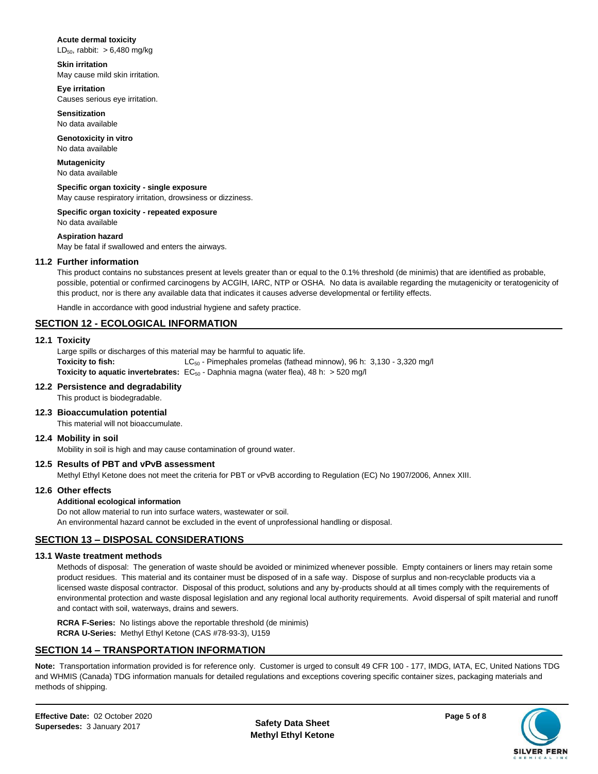#### **Acute dermal toxicity**

 $LD_{50}$ , rabbit: > 6,480 mg/kg

**Skin irritation**  May cause mild skin irritation.

**Eye irritation**  Causes serious eye irritation.

**Sensitization**  No data available

**Genotoxicity in vitro**  No data available

**Mutagenicity**  No data available

**Specific organ toxicity - single exposure**  May cause respiratory irritation, drowsiness or dizziness.

**Specific organ toxicity - repeated exposure** 

No data available

#### **Aspiration hazard**

May be fatal if swallowed and enters the airways.

## **11.2 Further information**

This product contains no substances present at levels greater than or equal to the 0.1% threshold (de minimis) that are identified as probable, possible, potential or confirmed carcinogens by ACGIH, IARC, NTP or OSHA. No data is available regarding the mutagenicity or teratogenicity of this product, nor is there any available data that indicates it causes adverse developmental or fertility effects.

Handle in accordance with good industrial hygiene and safety practice.

## **SECTION 12 - ECOLOGICAL INFORMATION**

#### **12.1 Toxicity**

Large spills or discharges of this material may be harmful to aquatic life. **Toxicity to fish:** LC<sub>50</sub> - Pimephales promelas (fathead minnow), 96 h: 3,130 - 3,320 mg/l **Toxicity to aquatic invertebrates:** EC<sub>50</sub> - Daphnia magna (water flea), 48 h: > 520 mg/l

## **12.2 Persistence and degradability**

This product is biodegradable.

## **12.3 Bioaccumulation potential**

This material will not bioaccumulate.

## **12.4 Mobility in soil**

Mobility in soil is high and may cause contamination of ground water.

## **12.5 Results of PBT and vPvB assessment**

Methyl Ethyl Ketone does not meet the criteria for PBT or vPvB according to Regulation (EC) No 1907/2006, Annex XIII.

## **12.6 Other effects**

## **Additional ecological information**

Do not allow material to run into surface waters, wastewater or soil. An environmental hazard cannot be excluded in the event of unprofessional handling or disposal.

## **SECTION 13 – DISPOSAL CONSIDERATIONS**

## **13.1 Waste treatment methods**

Methods of disposal: The generation of waste should be avoided or minimized whenever possible. Empty containers or liners may retain some product residues. This material and its container must be disposed of in a safe way. Dispose of surplus and non-recyclable products via a licensed waste disposal contractor. Disposal of this product, solutions and any by-products should at all times comply with the requirements of environmental protection and waste disposal legislation and any regional local authority requirements. Avoid dispersal of spilt material and runoff and contact with soil, waterways, drains and sewers.

**RCRA F-Series:** No listings above the reportable threshold (de minimis) **RCRA U-Series:** Methyl Ethyl Ketone (CAS #78-93-3), U159

## **SECTION 14 – TRANSPORTATION INFORMATION**

**Note:** Transportation information provided is for reference only. Customer is urged to consult 49 CFR 100 - 177, IMDG, IATA, EC, United Nations TDG and WHMIS (Canada) TDG information manuals for detailed regulations and exceptions covering specific container sizes, packaging materials and methods of shipping.

**Methyl Ethyl Ketone**

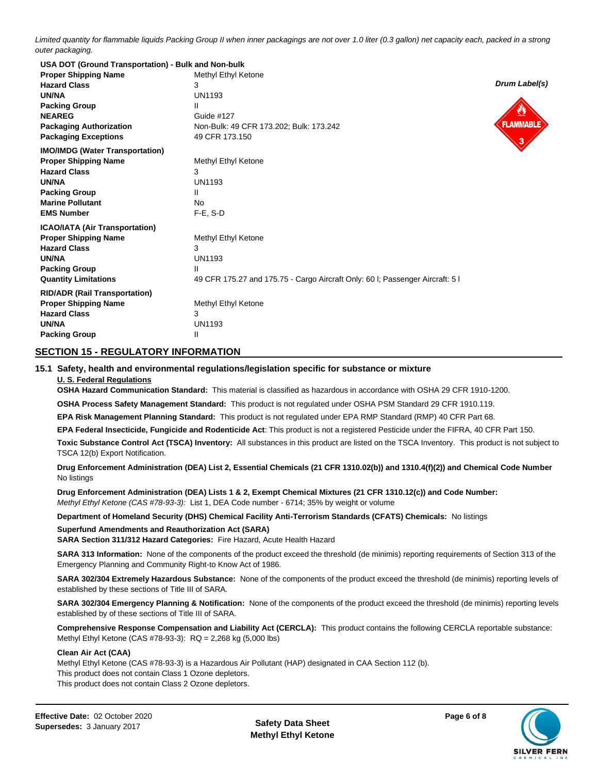*Limited quantity for flammable liquids Packing Group II when inner packagings are not over 1.0 liter (0.3 gallon) net capacity each, packed in a strong outer packaging.*

| USA DOT (Ground Transportation) - Bulk and Non-bulk |                                                                              |                  |
|-----------------------------------------------------|------------------------------------------------------------------------------|------------------|
| <b>Proper Shipping Name</b>                         | Methyl Ethyl Ketone                                                          |                  |
| <b>Hazard Class</b>                                 | 3                                                                            | Drum Label(s)    |
| <b>UN/NA</b>                                        | <b>UN1193</b>                                                                |                  |
| <b>Packing Group</b>                                | Ш                                                                            |                  |
| <b>NEAREG</b>                                       | Guide #127                                                                   |                  |
| <b>Packaging Authorization</b>                      | Non-Bulk: 49 CFR 173.202; Bulk: 173.242                                      | <b>FLAMMABLE</b> |
| <b>Packaging Exceptions</b>                         | 49 CFR 173.150                                                               |                  |
| <b>IMO/IMDG (Water Transportation)</b>              |                                                                              |                  |
| <b>Proper Shipping Name</b>                         | Methyl Ethyl Ketone                                                          |                  |
| <b>Hazard Class</b>                                 | 3                                                                            |                  |
| <b>UN/NA</b>                                        | <b>UN1193</b>                                                                |                  |
| <b>Packing Group</b>                                | Ш                                                                            |                  |
| <b>Marine Pollutant</b>                             | No.                                                                          |                  |
| <b>EMS Number</b>                                   | $F-E$ , S-D                                                                  |                  |
| <b>ICAO/IATA (Air Transportation)</b>               |                                                                              |                  |
| <b>Proper Shipping Name</b>                         | Methyl Ethyl Ketone                                                          |                  |
| <b>Hazard Class</b>                                 | 3                                                                            |                  |
| <b>UN/NA</b>                                        | <b>UN1193</b>                                                                |                  |
| <b>Packing Group</b>                                | Ш                                                                            |                  |
| <b>Quantity Limitations</b>                         | 49 CFR 175.27 and 175.75 - Cargo Aircraft Only: 60 l; Passenger Aircraft: 51 |                  |
| <b>RID/ADR (Rail Transportation)</b>                |                                                                              |                  |
| <b>Proper Shipping Name</b>                         | Methyl Ethyl Ketone                                                          |                  |
| <b>Hazard Class</b>                                 | 3                                                                            |                  |
| <b>UN/NA</b>                                        | <b>UN1193</b>                                                                |                  |
| <b>Packing Group</b>                                | Ш                                                                            |                  |

## **SECTION 15 - REGULATORY INFORMATION**

#### **15.1 Safety, health and environmental regulations/legislation specific for substance or mixture**

#### **U. S. Federal Regulations**

**OSHA Hazard Communication Standard:** This material is classified as hazardous in accordance with OSHA 29 CFR 1910-1200.

**OSHA Process Safety Management Standard:** This product is not regulated under OSHA PSM Standard 29 CFR 1910.119.

**EPA Risk Management Planning Standard:** This product is not regulated under EPA RMP Standard (RMP) 40 CFR Part 68.

**EPA Federal Insecticide, Fungicide and Rodenticide Act**: This product is not a registered Pesticide under the FIFRA, 40 CFR Part 150.

**Toxic Substance Control Act (TSCA) Inventory:** All substances in this product are listed on the TSCA Inventory. This product is not subject to TSCA 12(b) Export Notification.

**Drug Enforcement Administration (DEA) List 2, Essential Chemicals (21 CFR 1310.02(b)) and 1310.4(f)(2)) and Chemical Code Number** No listings

**Drug Enforcement Administration (DEA) Lists 1 & 2, Exempt Chemical Mixtures (21 CFR 1310.12(c)) and Code Number:** *Methyl Ethyl Ketone (CAS #78-93-3):* List 1, DEA Code number - 6714; 35% by weight or volume

**Department of Homeland Security (DHS) Chemical Facility Anti-Terrorism Standards (CFATS) Chemicals:** No listings

#### **Superfund Amendments and Reauthorization Act (SARA)**

**SARA Section 311/312 Hazard Categories:** Fire Hazard, Acute Health Hazard

**SARA 313 Information:** None of the components of the product exceed the threshold (de minimis) reporting requirements of Section 313 of the Emergency Planning and Community Right-to Know Act of 1986.

**SARA 302/304 Extremely Hazardous Substance:** None of the components of the product exceed the threshold (de minimis) reporting levels of established by these sections of Title III of SARA.

**SARA 302/304 Emergency Planning & Notification:** None of the components of the product exceed the threshold (de minimis) reporting levels established by of these sections of Title III of SARA.

**Comprehensive Response Compensation and Liability Act (CERCLA):** This product contains the following CERCLA reportable substance: Methyl Ethyl Ketone (CAS #78-93-3): RQ = 2,268 kg (5,000 lbs)

#### **Clean Air Act (CAA)**

Methyl Ethyl Ketone (CAS #78-93-3) is a Hazardous Air Pollutant (HAP) designated in CAA Section 112 (b). This product does not contain Class 1 Ozone depletors. This product does not contain Class 2 Ozone depletors.

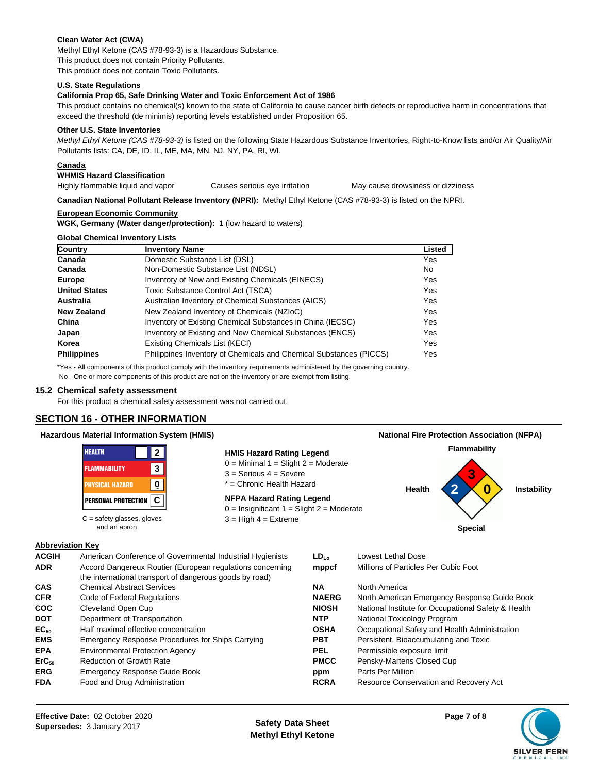## **Clean Water Act (CWA)**

Methyl Ethyl Ketone (CAS #78-93-3) is a Hazardous Substance. This product does not contain Priority Pollutants. This product does not contain Toxic Pollutants.

#### **U.S. State Regulations**

#### **California Prop 65, Safe Drinking Water and Toxic Enforcement Act of 1986**

This product contains no chemical(s) known to the state of California to cause cancer birth defects or reproductive harm in concentrations that exceed the threshold (de minimis) reporting levels established under Proposition 65.

#### **Other U.S. State Inventories**

*Methyl Ethyl Ketone (CAS #78-93-3)* is listed on the following State Hazardous Substance Inventories, Right-to-Know lists and/or Air Quality/Air Pollutants lists: CA, DE, ID, IL, ME, MA, MN, NJ, NY, PA, RI, WI.

## **Canada**

**WHMIS Hazard Classification** 

Highly flammable liquid and vapor Causes serious eye irritation May cause drowsiness or dizziness

**Canadian National Pollutant Release Inventory (NPRI):** Methyl Ethyl Ketone (CAS #78-93-3) is listed on the NPRI.

#### **European Economic Community**

**WGK, Germany (Water danger/protection):** 1 (low hazard to waters)

#### **Global Chemical Inventory Lists**

| Country              | <b>Inventory Name</b>                                              | Listed |
|----------------------|--------------------------------------------------------------------|--------|
| Canada               | Domestic Substance List (DSL)                                      | Yes    |
| Canada               | Non-Domestic Substance List (NDSL)                                 | No.    |
| Europe               | Inventory of New and Existing Chemicals (EINECS)                   | Yes    |
| <b>United States</b> | Toxic Substance Control Act (TSCA)                                 | Yes    |
| Australia            | Australian Inventory of Chemical Substances (AICS)                 | Yes    |
| New Zealand          | New Zealand Inventory of Chemicals (NZIoC)                         | Yes    |
| China                | Inventory of Existing Chemical Substances in China (IECSC)         | Yes    |
| Japan                | Inventory of Existing and New Chemical Substances (ENCS)           | Yes    |
| Korea                | Existing Chemicals List (KECI)                                     | Yes    |
| <b>Philippines</b>   | Philippines Inventory of Chemicals and Chemical Substances (PICCS) | Yes    |
|                      |                                                                    |        |

\*Yes - All components of this product comply with the inventory requirements administered by the governing country. No - One or more components of this product are not on the inventory or are exempt from listing.

#### **15.2 Chemical safety assessment**

For this product a chemical safety assessment was not carried out.

## **SECTION 16 - OTHER INFORMATION**

## **Hazardous Material Information System (HMIS)**

| <b>HEALTH</b><br>$\mathbf{2}$                | <b>HMIS Hazard Rating Legend</b>                                                | Flammability               |  |
|----------------------------------------------|---------------------------------------------------------------------------------|----------------------------|--|
| 3<br><b>FLAMMABILITY</b>                     | $0 =$ Minimal 1 = Slight 2 = Moderate<br>$3 =$ Serious $4 =$ Severe             | 3                          |  |
| $\mathbf 0$<br><b>PHYSICAL HAZARD</b>        | * = Chronic Health Hazard                                                       | 0<br>Health<br>Instability |  |
| <b>PERSONAL PROTECTION C</b>                 | <b>NFPA Hazard Rating Legend</b><br>$0 =$ Insignificant 1 = Slight 2 = Moderate |                            |  |
|                                              |                                                                                 |                            |  |
| $C =$ safety glasses, gloves<br>and an apron | $3 =$ High $4 =$ Extreme                                                        | <b>Special</b>             |  |
|                                              |                                                                                 |                            |  |

#### **Abbreviation Key**

| <b>ACGIH</b><br><b>ADR</b> | American Conference of Governmental Industrial Hygienists<br>Accord Dangereux Routier (European regulations concerning<br>the international transport of dangerous goods by road) | $LD_{10}$<br>mppcf | Lowest Lethal Dose<br>Millions of Particles Per Cubic Foot |
|----------------------------|-----------------------------------------------------------------------------------------------------------------------------------------------------------------------------------|--------------------|------------------------------------------------------------|
| CAS                        | <b>Chemical Abstract Services</b>                                                                                                                                                 | ΝA                 | North America                                              |
| <b>CFR</b>                 | Code of Federal Regulations                                                                                                                                                       | <b>NAERG</b>       | North American Emergency Response Guide Book               |
| <b>COC</b>                 | Cleveland Open Cup                                                                                                                                                                | <b>NIOSH</b>       | National Institute for Occupational Safety & Health        |
| <b>DOT</b>                 | Department of Transportation                                                                                                                                                      | <b>NTP</b>         | National Toxicology Program                                |
| EC <sub>50</sub>           | Half maximal effective concentration                                                                                                                                              | <b>OSHA</b>        | Occupational Safety and Health Administration              |
| <b>EMS</b>                 | Emergency Response Procedures for Ships Carrying                                                                                                                                  | <b>PBT</b>         | Persistent, Bioaccumulating and Toxic                      |
| <b>EPA</b>                 | <b>Environmental Protection Agency</b>                                                                                                                                            | <b>PEL</b>         | Permissible exposure limit                                 |
| $ErC_{50}$                 | <b>Reduction of Growth Rate</b>                                                                                                                                                   | <b>PMCC</b>        | Pensky-Martens Closed Cup                                  |
| <b>ERG</b>                 | Emergency Response Guide Book                                                                                                                                                     | ppm                | Parts Per Million                                          |
| <b>FDA</b>                 | Food and Drug Administration                                                                                                                                                      | <b>RCRA</b>        | Resource Conservation and Recovery Act                     |

**Methyl Ethyl Ketone**



**National Fire Protection Association (NFPA)**